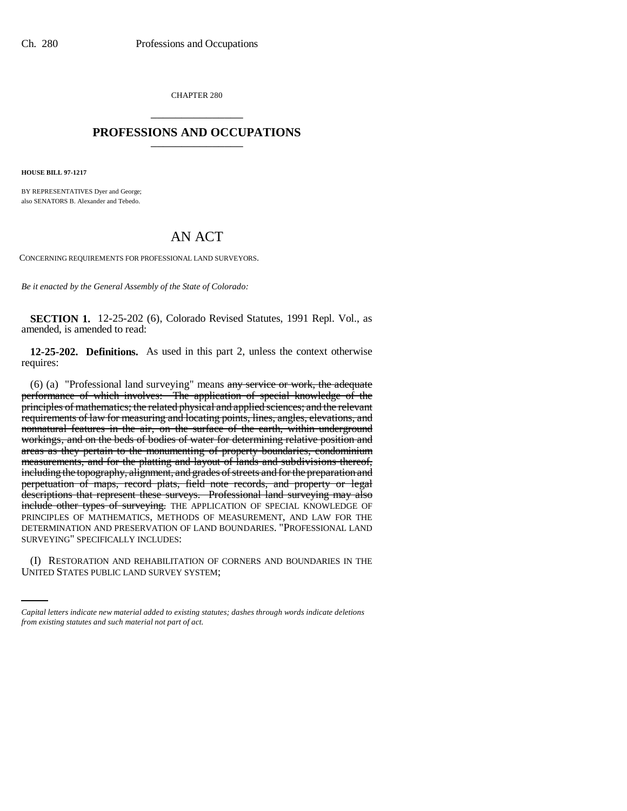CHAPTER 280 \_\_\_\_\_\_\_\_\_\_\_\_\_\_\_

## **PROFESSIONS AND OCCUPATIONS** \_\_\_\_\_\_\_\_\_\_\_\_\_\_\_

**HOUSE BILL 97-1217**

BY REPRESENTATIVES Dyer and George; also SENATORS B. Alexander and Tebedo.

## AN ACT

CONCERNING REQUIREMENTS FOR PROFESSIONAL LAND SURVEYORS.

*Be it enacted by the General Assembly of the State of Colorado:*

**SECTION 1.** 12-25-202 (6), Colorado Revised Statutes, 1991 Repl. Vol., as amended, is amended to read:

**12-25-202. Definitions.** As used in this part 2, unless the context otherwise requires:

(6) (a) "Professional land surveying" means any service or work, the adequate performance of which involves: The application of special knowledge of the principles of mathematics; the related physical and applied sciences; and the relevant requirements of law for measuring and locating points, lines, angles, elevations, and nonnatural features in the air, on the surface of the earth, within underground workings, and on the beds of bodies of water for determining relative position and areas as they pertain to the monumenting of property boundaries, condominium measurements, and for the platting and layout of lands and subdivisions thereof, including the topography, alignment, and grades of streets and for the preparation and perpetuation of maps, record plats, field note records, and property or legal descriptions that represent these surveys. Professional land surveying may also include other types of surveying. THE APPLICATION OF SPECIAL KNOWLEDGE OF PRINCIPLES OF MATHEMATICS, METHODS OF MEASUREMENT, AND LAW FOR THE DETERMINATION AND PRESERVATION OF LAND BOUNDARIES. "PROFESSIONAL LAND SURVEYING" SPECIFICALLY INCLUDES:

(I) RESTORATION AND REHABILITATION OF CORNERS AND BOUNDARIES IN THE UNITED STATES PUBLIC LAND SURVEY SYSTEM;

*Capital letters indicate new material added to existing statutes; dashes through words indicate deletions from existing statutes and such material not part of act.*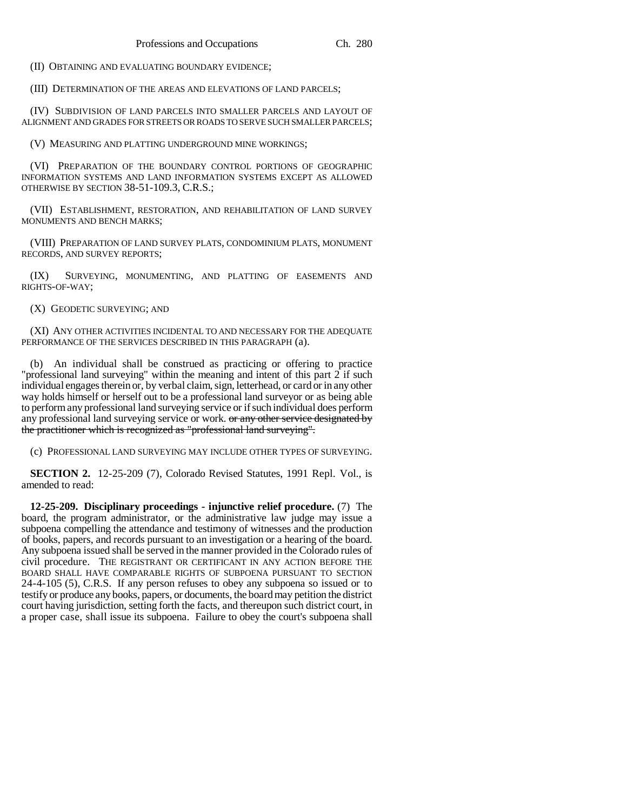(II) OBTAINING AND EVALUATING BOUNDARY EVIDENCE;

(III) DETERMINATION OF THE AREAS AND ELEVATIONS OF LAND PARCELS;

(IV) SUBDIVISION OF LAND PARCELS INTO SMALLER PARCELS AND LAYOUT OF ALIGNMENT AND GRADES FOR STREETS OR ROADS TO SERVE SUCH SMALLER PARCELS;

(V) MEASURING AND PLATTING UNDERGROUND MINE WORKINGS;

(VI) PREPARATION OF THE BOUNDARY CONTROL PORTIONS OF GEOGRAPHIC INFORMATION SYSTEMS AND LAND INFORMATION SYSTEMS EXCEPT AS ALLOWED OTHERWISE BY SECTION 38-51-109.3, C.R.S.;

(VII) ESTABLISHMENT, RESTORATION, AND REHABILITATION OF LAND SURVEY MONUMENTS AND BENCH MARKS;

(VIII) PREPARATION OF LAND SURVEY PLATS, CONDOMINIUM PLATS, MONUMENT RECORDS, AND SURVEY REPORTS;

(IX) SURVEYING, MONUMENTING, AND PLATTING OF EASEMENTS AND RIGHTS-OF-WAY;

(X) GEODETIC SURVEYING; AND

(XI) ANY OTHER ACTIVITIES INCIDENTAL TO AND NECESSARY FOR THE ADEQUATE PERFORMANCE OF THE SERVICES DESCRIBED IN THIS PARAGRAPH (a).

(b) An individual shall be construed as practicing or offering to practice "professional land surveying" within the meaning and intent of this part 2 if such individual engages therein or, by verbal claim, sign, letterhead, or card or in any other way holds himself or herself out to be a professional land surveyor or as being able to perform any professional land surveying service or if such individual does perform any professional land surveying service or work. or any other service designated by the practitioner which is recognized as "professional land surveying".

(c) PROFESSIONAL LAND SURVEYING MAY INCLUDE OTHER TYPES OF SURVEYING.

**SECTION 2.** 12-25-209 (7), Colorado Revised Statutes, 1991 Repl. Vol., is amended to read:

**12-25-209. Disciplinary proceedings - injunctive relief procedure.** (7) The board, the program administrator, or the administrative law judge may issue a subpoena compelling the attendance and testimony of witnesses and the production of books, papers, and records pursuant to an investigation or a hearing of the board. Any subpoena issued shall be served in the manner provided in the Colorado rules of civil procedure. THE REGISTRANT OR CERTIFICANT IN ANY ACTION BEFORE THE BOARD SHALL HAVE COMPARABLE RIGHTS OF SUBPOENA PURSUANT TO SECTION 24-4-105 (5), C.R.S. If any person refuses to obey any subpoena so issued or to testify or produce any books, papers, or documents, the board may petition the district court having jurisdiction, setting forth the facts, and thereupon such district court, in a proper case, shall issue its subpoena. Failure to obey the court's subpoena shall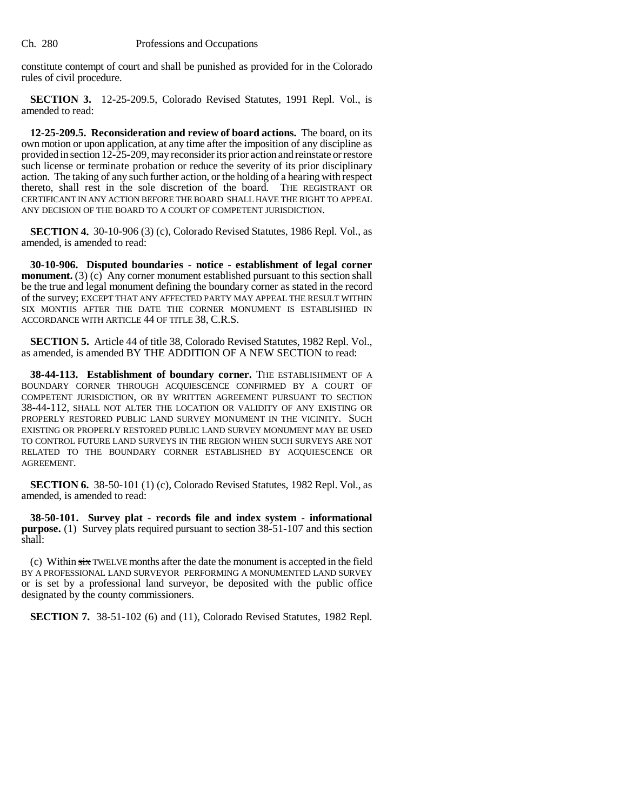constitute contempt of court and shall be punished as provided for in the Colorado rules of civil procedure.

**SECTION 3.** 12-25-209.5, Colorado Revised Statutes, 1991 Repl. Vol., is amended to read:

**12-25-209.5. Reconsideration and review of board actions.** The board, on its own motion or upon application, at any time after the imposition of any discipline as provided in section 12-25-209, may reconsider its prior action and reinstate or restore such license or terminate probation or reduce the severity of its prior disciplinary action. The taking of any such further action, or the holding of a hearing with respect thereto, shall rest in the sole discretion of the board. THE REGISTRANT OR CERTIFICANT IN ANY ACTION BEFORE THE BOARD SHALL HAVE THE RIGHT TO APPEAL ANY DECISION OF THE BOARD TO A COURT OF COMPETENT JURISDICTION.

**SECTION 4.** 30-10-906 (3) (c), Colorado Revised Statutes, 1986 Repl. Vol., as amended, is amended to read:

**30-10-906. Disputed boundaries - notice - establishment of legal corner monument.** (3) (c) Any corner monument established pursuant to this section shall be the true and legal monument defining the boundary corner as stated in the record of the survey; EXCEPT THAT ANY AFFECTED PARTY MAY APPEAL THE RESULT WITHIN SIX MONTHS AFTER THE DATE THE CORNER MONUMENT IS ESTABLISHED IN ACCORDANCE WITH ARTICLE 44 OF TITLE 38, C.R.S.

**SECTION 5.** Article 44 of title 38, Colorado Revised Statutes, 1982 Repl. Vol., as amended, is amended BY THE ADDITION OF A NEW SECTION to read:

**38-44-113. Establishment of boundary corner.** THE ESTABLISHMENT OF A BOUNDARY CORNER THROUGH ACQUIESCENCE CONFIRMED BY A COURT OF COMPETENT JURISDICTION, OR BY WRITTEN AGREEMENT PURSUANT TO SECTION 38-44-112, SHALL NOT ALTER THE LOCATION OR VALIDITY OF ANY EXISTING OR PROPERLY RESTORED PUBLIC LAND SURVEY MONUMENT IN THE VICINITY. SUCH EXISTING OR PROPERLY RESTORED PUBLIC LAND SURVEY MONUMENT MAY BE USED TO CONTROL FUTURE LAND SURVEYS IN THE REGION WHEN SUCH SURVEYS ARE NOT RELATED TO THE BOUNDARY CORNER ESTABLISHED BY ACQUIESCENCE OR AGREEMENT.

**SECTION 6.** 38-50-101 (1) (c), Colorado Revised Statutes, 1982 Repl. Vol., as amended, is amended to read:

**38-50-101. Survey plat - records file and index system - informational purpose.** (1) Survey plats required pursuant to section 38-51-107 and this section shall:

(c) Within six TWELVE months after the date the monument is accepted in the field BY A PROFESSIONAL LAND SURVEYOR PERFORMING A MONUMENTED LAND SURVEY or is set by a professional land surveyor, be deposited with the public office designated by the county commissioners.

**SECTION 7.** 38-51-102 (6) and (11), Colorado Revised Statutes, 1982 Repl.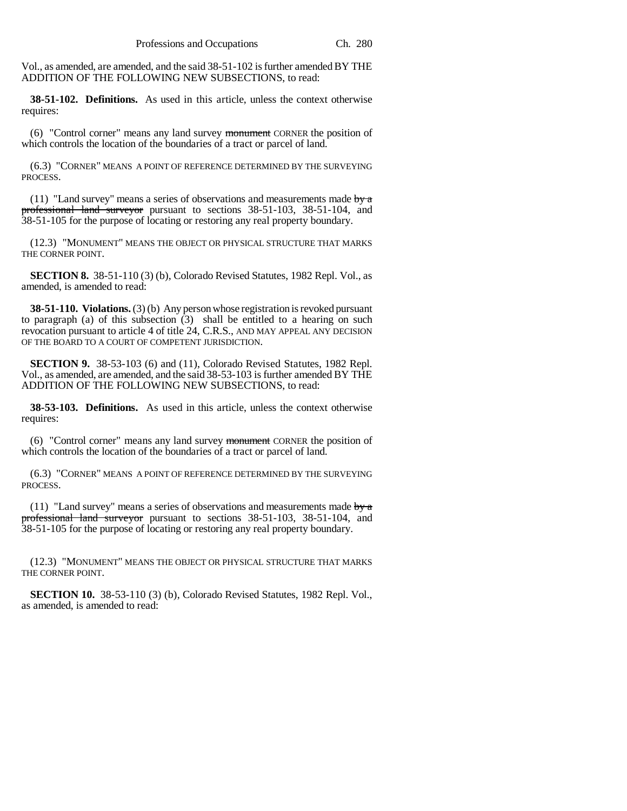Vol., as amended, are amended, and the said 38-51-102 is further amended BY THE ADDITION OF THE FOLLOWING NEW SUBSECTIONS, to read:

**38-51-102. Definitions.** As used in this article, unless the context otherwise requires:

(6) "Control corner" means any land survey monument CORNER the position of which controls the location of the boundaries of a tract or parcel of land.

(6.3) "CORNER" MEANS A POINT OF REFERENCE DETERMINED BY THE SURVEYING PROCESS.

(11) "Land survey" means a series of observations and measurements made  $\frac{1}{2}$ professional land surveyor pursuant to sections 38-51-103, 38-51-104, and 38-51-105 for the purpose of locating or restoring any real property boundary.

(12.3) "MONUMENT" MEANS THE OBJECT OR PHYSICAL STRUCTURE THAT MARKS THE CORNER POINT.

**SECTION 8.** 38-51-110 (3) (b), Colorado Revised Statutes, 1982 Repl. Vol., as amended, is amended to read:

**38-51-110. Violations.** (3) (b) Any person whose registration is revoked pursuant to paragraph (a) of this subsection (3) shall be entitled to a hearing on such revocation pursuant to article 4 of title 24, C.R.S., AND MAY APPEAL ANY DECISION OF THE BOARD TO A COURT OF COMPETENT JURISDICTION.

**SECTION 9.** 38-53-103 (6) and (11), Colorado Revised Statutes, 1982 Repl. Vol., as amended, are amended, and the said 38-53-103 is further amended BY THE ADDITION OF THE FOLLOWING NEW SUBSECTIONS, to read:

**38-53-103. Definitions.** As used in this article, unless the context otherwise requires:

(6) "Control corner" means any land survey monument CORNER the position of which controls the location of the boundaries of a tract or parcel of land.

(6.3) "CORNER" MEANS A POINT OF REFERENCE DETERMINED BY THE SURVEYING PROCESS.

(11) "Land survey" means a series of observations and measurements made  $\frac{1}{2}$ professional land surveyor pursuant to sections 38-51-103, 38-51-104, and 38-51-105 for the purpose of locating or restoring any real property boundary.

(12.3) "MONUMENT" MEANS THE OBJECT OR PHYSICAL STRUCTURE THAT MARKS THE CORNER POINT.

**SECTION 10.** 38-53-110 (3) (b), Colorado Revised Statutes, 1982 Repl. Vol., as amended, is amended to read: